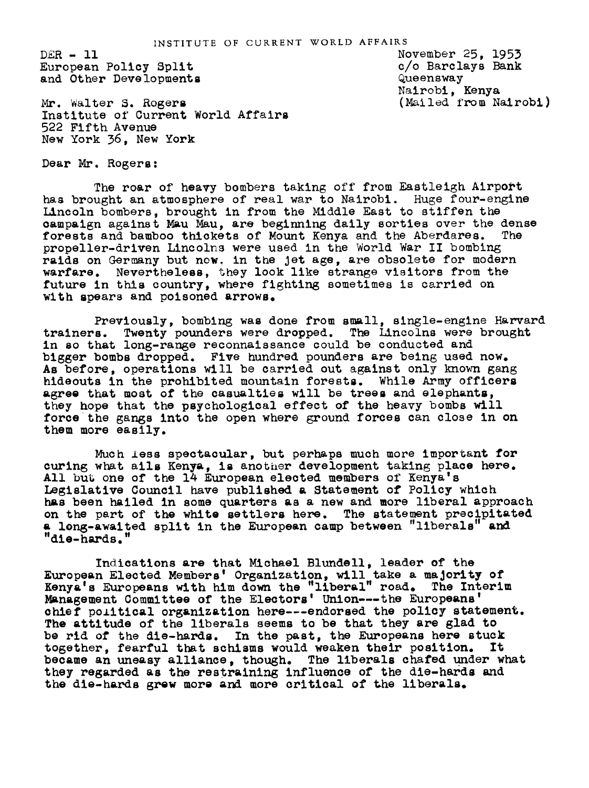$DER - 11$ European Policy Split and Other Developments

Mr. Walter S. Roger Institute of Current World Affairs 522 Fifth Avenue New York 36, New York

November 25, 1953 c/o Barclays Bank Queensway Nairobi, Kenya (Mailed from Nalrobi)

Dear Mr. Rogers:

The roar of heavy bombers taking off from Eastleigh Airport has brought an atmosphere of real war to Nairobi. Huge four-engine Lincoln bombers, brought in from the Middle East to stiffen the campaign against Mau Mau, are beginning daily sorties over the dense<br>forests and bamboo thickets of Mount Kenya and the Aberdares. The forests and bamboo thickets of Mount Kenya and the Aberdares. propeller-driven Lincolns were used in the World War II bombing raids on Germany but now. in the Jet age, are obsolete for modern warfare. Nevertheless, they look like strange visitors from the future in this country, where fighting sometimes is carried on with spears and poisoned arrows.

Previoumly, bombing was done from small, slngle-engine Harvard trainers. Twenty pounders were dropped. The Lincolns were brought in so that long-range reconnaissance could be conducted and bigger bombs dropped. Five hundred pounders are being used now. As before, operations will be carried out against only known gang hideouts in the prohibited mountain forests. While Army officers agree that most of the casualties will be trees and elephants, they hope that the psychological effect of the heavy bombs will force the gangs into the open where ground forces can close in on them more easily.

Much less spectacular, but perhaps much more important for curing what ails Kenya, is another development taking place here. All but one of the 14 European elected members of Kenya's Legislative Council have publiehed a Statement of Policy which has been hailed in some quarters as a new and more liberal approach on the part of the white settlers here. The statement precipitated a long-awaited split in the European camp between "liberals" and "die-hards."

Indications are that Michael Blundell, leader of the European Elected Members' Organization, will take a majority of Kenya's Europeans with him down the "liberal" road. The Interim Management Committee of the Electors' Union---the Europeans' chief political organization here---endorsed the policy statement. The attitude of the liberals seems to be that they are glad to be rid of the die-hards. In the past, the Europeans here stuck together, fearful that schisms would weaken their position. It together. fearful that schisms would weaken their position. became an uneasy alllance, though. The liberals chafed under what they regarded as the restraining influence of the die-hards and the die-hards grew more and more critical of the liberals.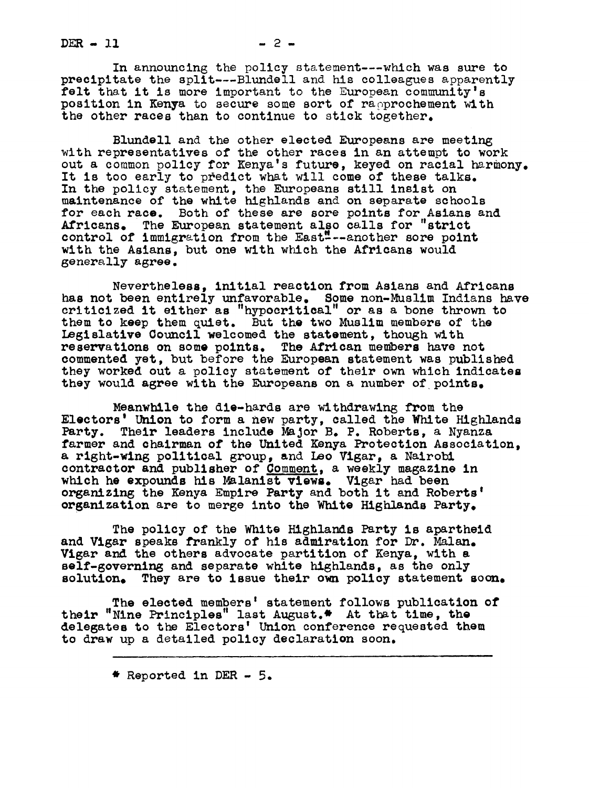$DER - 11$   $-2-$ 

In announcing the policy statement---whlch was sure to precipitate the split---Blundell and his colleagues apparently felt that it is more important to the European community's position in Kenya to secure some sort of rapprochement with the other races than to continue to stick together.

Blundell and the other elected Europeans are meeting with representatives of the other races in an attempt to work out a common policy for Kenya's future, keyed on racial harmony. It is too early to predict what will come of these talks. In the policy statement, the Europeans still insist on maintenance of the white highlands and on separate schools for each race. Both of these are sore points for Asians and Africans. The European statement also calls for "strict control of immigration from the East"---another sore point with the Asians, but one with which the Africans would generally agree.

Nevertheless, initial reaction from Asians and Africans has not been entirely unfavorable. Some non-Muslim Indians have criticized it either as "hypocritical" or as a bone thrown to them to keep them quiet. But the two Muslim members of the Legislative Oouncil welcomed the statement, thoush with reservations on some points. The African members have not commented yet, but before the European statement was published they worked out a policy statement of their own which indicates they would agree with the Europeans on a number of points.

Meanwhile the die-hards are withdrawing from the Electors' Union to form a new party, called the White Highlands Party. Their leaders include Major B. P. Roberts, a Nyanza farmer and chairman of the United Kenya Protection Association, a right-wlng political group, and Leo Vlgar, a Nalrobl contractor and publisher of Comment, a weekly magazine in which he expounds his Malanist Views. Vigar had been organizing the Kenya Empire Party and both it and Roberts' organization are to merge into the White Highlands Party.

The policy of the White Highlands Party is apartheid and Vigar speaks frankly of his admiration for Dr. Malan. Vigar and the others advocate partition of Kenya, with a self-governlng and separate white highlands, as the only solution. They are to issue their own policy statement soon.

The elected members' statement follows publication of their "Nine Principles" last August.\* At that time, the delegates to the Electors' Union conference requested them to draw up a detailed policy declaration soon.

 $*$  Reported in DER - 5.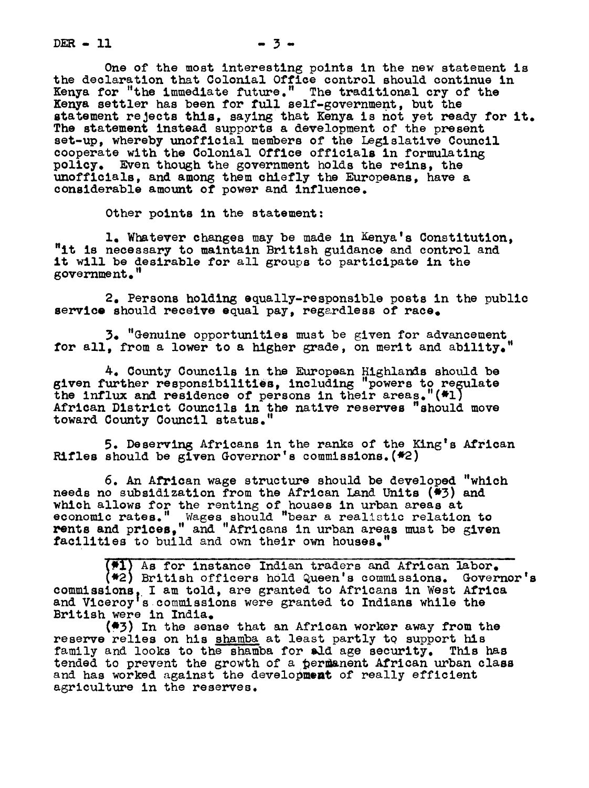$DER - 11$   $- 3 - 3$ 

One of the most interesting points in the new statement is the declaration that Colonial Office control should continue in Kenya for "the immediate future." The traditional cry of the Kenya settler has been for full self-government, but the statement rejects this, saying that Kenya is not yet ready for it. The statement instead supports a development of the present set-up, whereby unofficial members of the Legislative Council cooperate with the Colonial Office officials in formulating policy. Even though the government holds the reins, the unofficials, and among them chiefly the Europeans, have a considerable amount of power and influence.

Other points in the statement:

I. Whatever changes may be made in Kenya's Constitution, "it is necessary to maintain British guidance and control and it will be desirable for all groups to participate in the government."

2. Persons holding equally-responsible posts in the public service should receive equal pay, regardless of race.

3. "Genuine opportunities must be given for advancement for all. from a lower to a higher grade, on merit and ability.

A. County Councils in the European Highlands should be given further responsibilities, including "powers to regulate the influx and residence of persons in their areas."(\*l) African District Councils in the native reserves "should move toward County Council status."

5. Deserving Africans in the ranks of the King's African Rifles should be given Governor's commissions.  $(42)$ 

6. An African wage structure should be developed "which needs no subsidization from the African Land Units (\*3) and which allows for the renting of houses in urban areas at economic rates." Wages should "bear a realistic relation to becomenced rates. These should begin a reduced relation to restor relation to restoration of the strength facilities to build and own their own houses."

(#1) As for instance Indian traders and African labor. British officers h01d Queen's commissions. Governor's commissions, I am told, are granted to Africans in West Africa and Viceroy's commissions were granted to Indians while the British were in India.

(e3) In the sense that an Afrlcan worker away from the reserve relies on his shamba at least partly to support his family and looks to the shamba for ald age security. This has tended to prevent the growth of a permanent African urban class and has worked against the development of really efficient agriculture in the reserves.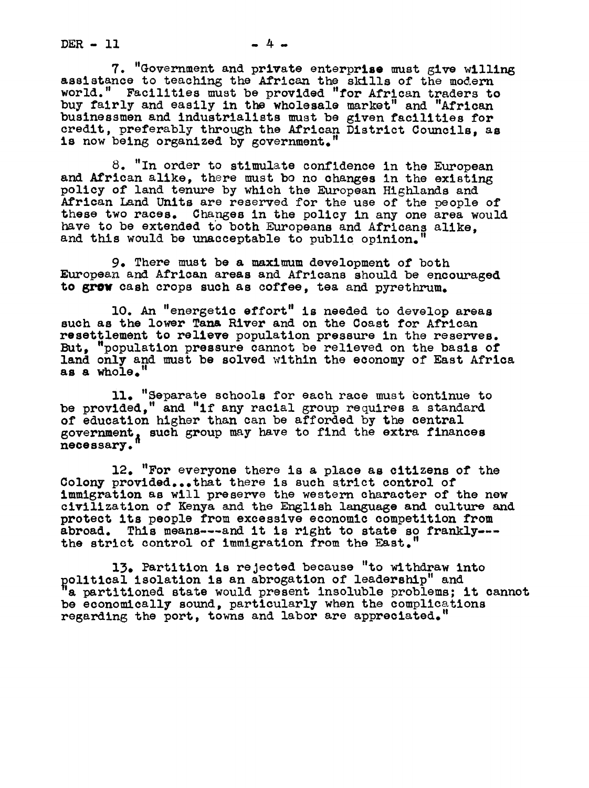$DER - 11$   $-4$   $-$ 

7. "Government and private enterprise must give willing assistance to teaching the African the skills of the modern world." Facilities must be provided "for African traders to buy fairly and easily in the wholesale market" and "African businessmen and industrialists must be given facilities for credit, preferably through the African District Councils, as is now being organized by government.

8. "In order to stimulate confidence in the European and African alike, there must bo no changes in the existing policy of land tenure by which the European Highlands and African Land Units are reserved for the use of the people of these two races. Changes in the policy in any one area would have to be extended to both Europeans and Africans alike, and this would be unacceptable to public opinion.

9. There must be a maximum development of both European and African areas and Africans should be encouraged to grow cash crops such as coffee, tea and pyrethrum.

I0. An "energetic effort" is needed to develop areas such as the lower Tana River and on the Coast for African resettlement to relieve population pressure in the reserves. But, "population pressure cannot be relieved on the basis of land only and must be solved within the economy of East Africa as a whole.

II. "Separate schools for each race must ontinue to be provided," and "if any racial group requires a standard of education higher than can be afforded by the central government, such group may have to find the extra finances necessary.

12. "For everyone there is a place as citizens of the Colony provided...that there is such strict control of immigration as will preserve the western character of the new civilization of Kenya and the English language and culture and protect its people from excessive economic competition from abroad. This means---and it is right to state so frankly-- the strict control of immigration from the East.

13. Partition is rejected because "to withdraw into political isolation is an abrogation of leadership" and<br>"a partitioned state would present insoluble problems; it cannot be economically sound, particularly when the complications regarding the port, towns and labor are appreciated.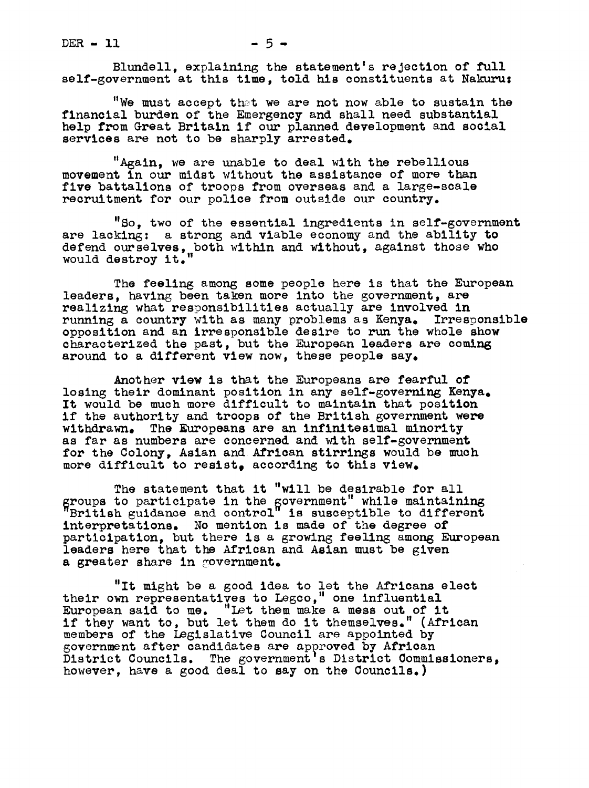$DER - 11$   $-5-$ 

Blundell, explaining the statement's rejection of full self-government at this time, told his constituents at Nakuru:

"We must accept that we are not now able to sustain the financial burden of the Emergency and shall need substantial help from Great Britain if our planned development and social services are not to be sharply arrested.

"Again, we are unable to deal with the rebellious movement in our midst without the assistance of more than five battalions of troops from overseas and a large-scale recruitment for our police from outside our country.

"So, two of the essential ingredients in self-government are lacking: a strong and viable economy and the ability to defend ourselves, both within and without, against those who would destroy it.

The feeling among some people here is that the European leaders, having been taken more into the government, are realizing what responsibilities actually are involved in running a country with as many problems as Kenya. Irresponsible opposition and an irresponsible desire to run the whole show characterized the past, but the European leaders are coming around to a different view now, these people say.

Another view is that the Europeans are fearful of losing their dominant position in any self-governing Kenya. It would be much more difficult to maintain that position if the authority and troops of the British government were withdrawn. The Europeans are an infinitesimal minority as far as nUmbers are concerned and with self-government for the Colony, Asian and African stirrings would be much more difficult to resist, according to this view.

The statement that it "will be desirable for all groups to participate in the government" while maintaining<br>"British guidance and control" is susceptible to different interpretations. No mention is made of the degree of participation, but there is a growing feeling among European leaders here that the African and Asian must be given a greater share in government.

"It might be a good idea to let the Africans elect their own representatives to Legco," one influential European said to me. "Let them make a mess out of it if they want to, but let them do it themselves. (African members of the Legislative Council are appointed by government after candidates are approved by African District Councils. The government's District Commissioners, however, have a good deal to say on the Councils.)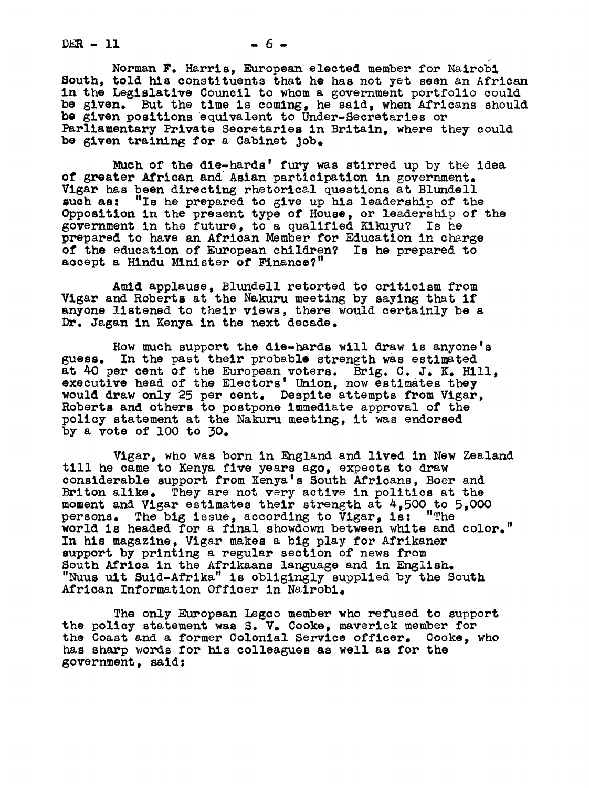$DER - 11$   $-6-$ 

Norman F. Harris, European elected member for Nairobi South, told his constituents that he has not yet seen an African in the Legislative Council to whom a government portfolio could be given. But the time is coming, he said, when Africans should be given positions equivalent to Under-Secretaries or Parliamentary Private Secretaries in Britain, where they could be given treining for a Cabinet Job.

Much of the die-hards' fury was stirred up by the idea of greater African and Asian participation in government. Vigar has been directing rhetorical questions at Blundell such as: "Is he prepared to give up his leadership of the "Is he prepared to give up his leadership of the Opposition in the present type of House, or leadership of the government in the future, to a qualified Kikuyu? Is he prepared to have an African Member for Education in charge of the education of European children? Is he prepared to accept a Hindu Minister of Finance?"

Amid applause, Blundell retorted to criticism from Vigar and Roberts at the Nakuru meeting by saying that if anyone listened to their views, there would certainly be a Dr. Jagan in Kenya in the next decade.

How much support the die-hards will draw is anyone's guess. In the past their probable strength was estimated at 40 per cent of the European voters. Brig. C. J. K. Hill, executive head of the Electors' Union, now estimates they would draw only 25 per cent. Despite attempts from Vigar, Roberts and others to postpone immediate approval of the policy statement at the Nakuru meeting, it was endorsed by a vote of lO0 to 30.

Vigar, who was born in England and lived in New Zealand till he came to Kenya five years ago, expects to draw considerable support from Kenya's South Africans, Boer and Briton alike. They are not very active in politics at the moment and Vigar estimates their strength at 4,500 to 5,000 persons. The big issue, according to Vigar, is: "The The big issue, according to  $V$ igar, is: "The world is headed for a final showdown between white and color." In his magazine, Vigar makes a big play for Afrikaner support by printing a regular section of news from South Africa in the Afrikaans language and in English. "Nuus uit Suid-Afrika" is obligingly supplied by the South African Information Officer in Nairobl.

The only European Legco member who refused to support the policy statement was S. V. Cooke, maverick member for the Coast and a former Colonial Service officer. Cooke, who has sharp words for his colleagues as well as for the government, said: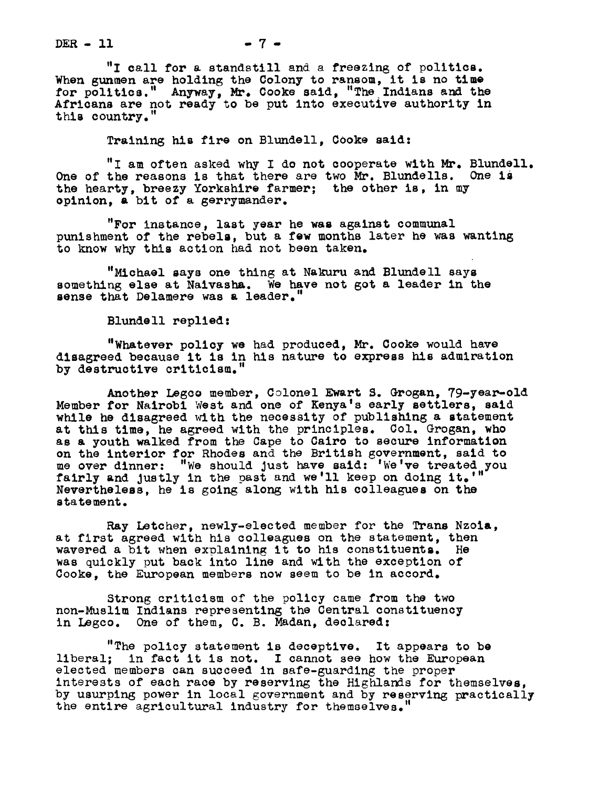$DER - 11$   $- 7 -$ 

"I call for a standstill and a freezing of politics. When gunmen are holding the Colony to ransom, it is no time<br>for politics." Anyway, Mr. Cooke said, "The Indians and the Africans are not ready to be put into executive authority in this country."

Training his fire on Blundell, Cooke said:

"I am often asked why I do not cooperate with Mr. Blundell. One of the reasons is that there are two Mr. Blundells. One is the hearty, breezy Yorkshire farmer; the other is, in my opinion, a bit of a gerrymander.

"For instance, last year he was against communal punishment of the rebels, but a few months later he was wanting to know why this action had not been taken.

"Michael says one thing at Nakuru and Blundell says something else at Naivasha. We have not got a leader in the sense that Delamere was a leader."

Blundell replied:

"Whatever policy we had produced, Mr. Cooke would have disagreed because it is in his nature to express his admiration by destructive criticism."

Another Legco member, Colonel Ewart S. Grogan, 79-year-old Member for Nairobl West and one of Kenya's early settlers, said while he disagreed with the necessity of publishing a statement at this time, he agreed with the principles. Col. Grogan, who as & youth walked from the Cape to Cairo to secure information on the interior for Rhodes and the British government, said to me over dinner: "We should just have said: 'We've treated you fairly and justly in the past and we'll keep on doing it.'' Nevertheless, he is going along with his colleagues on the statement.

Ray Letcher, newly-elected member for the Trans Nzola, at first agreed with his colleagues on the statement, then wavered a bit when explaining it to his constituents. He was quickly put back into line and with the exception of Cooke, the European members now seem to be in accord.

Strong criticism of the policy came from the two non-Muslim Indians representing the Central constituency in Legco. One of them, C. B. Madan, declared:

"The policy statement is deceptive. It appears to be liberal; in fact it is not. I cannot see how the European elected members can succeed in safe-guardlng the proper interests of each race by reserving the Highlands for themselves, by usurping power in local government and by reserving practically the entire agricultural industry for themselves.'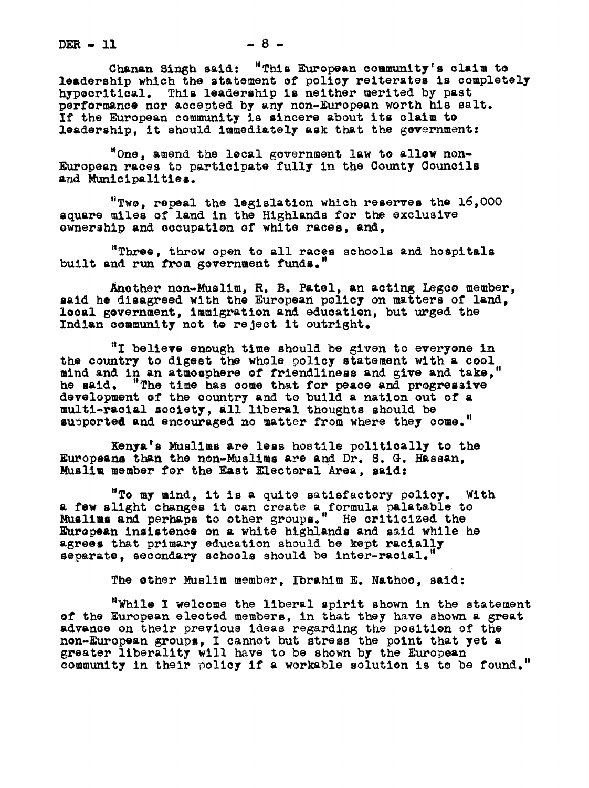$DER - 11$   $-8$   $-$ 

Ghanan Singh said: "This European community's claim to leadership which the statement of policy reiterates is completely hypecritical. This leadership is neither merited by past performance nor accepted by any non-European worth his salt. If the European community is sincere about its claim to leadership, it should immediately ask that he government:

"One, amend the lecal government law to allow non-European races to participate fully in the County Councils and Municipalities.

"Two, repeal the legislation which reserves the 16,000 square miles of land in the Highlands for the exclusive ownership and eccupation of white races, and,

"Three, throw open to all races schools and hospitals built and run from government funds."

Another non-Muslim, R. B. Patel, an acting Legco member, said he disagreed with the European policy on matters of land, local government, immigration and education, but urged the Indian community not to reject it outright.

"I believe enough time should be slven to everyone in the country to digest the whole policy statement with & cool mind and in an atmosphere ef friendliness and give and take," he said. "The time has come that for peace and progressive he said. "The time has come that for peace and progressive development of the country and to build a nation out of a multl-racial society, all liberal thoughts should be supperted and encouraged no matter from where they come."

Kenya's Muslims are less hostile politically to the Europeans than the non-Muslims are and Dr. S. G. Hassan, Muslim member for the East Electoral Area, aid:

"To my mind, it is a quite satisfactory policy. With & few slight changes it can create a formula palatable te Muslims and perhaps to other groups." He criticized the European insistence on a white highlands and said while he agrees that primary education should be kept racially separate, secondary schools should be inter-racial.

The other Muslim member, Ibrahim E. Nathoe, said:

"While I welcome the liberal spirit shown in the statement ef the European elected members, in that they have shown a great advance on their previous ideas regarding the position of the non-European groups, I cannot but stress the point that yet & greater liberality will have to be shown by the European community in their policy if a workable solution is to be found."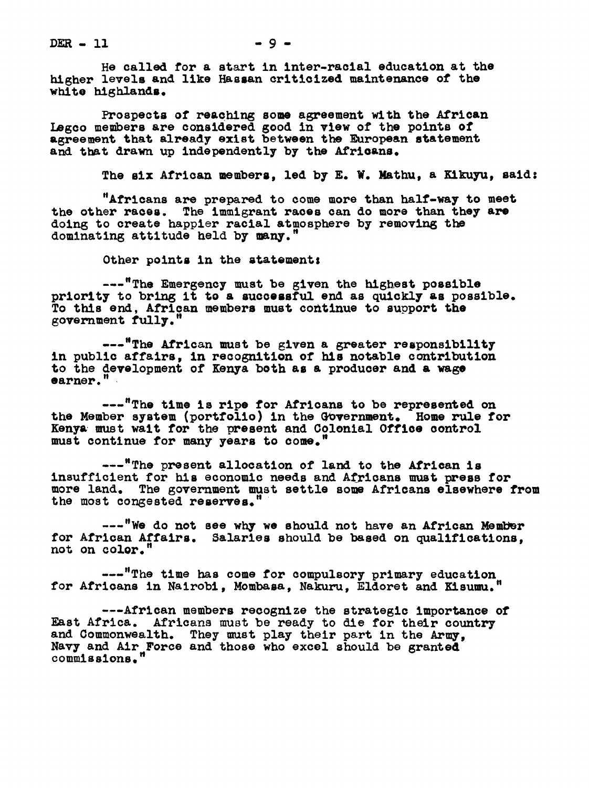$DER - 11$ 

He called for a start in inter-racial education at the higher levels and like Hassan criticized maintenance of the white highlands.

Prospects of reaching some agreement with the African Legco members are considered good in view of the points of agreement that already exist between the European statement and that drawn up independently by the Africans.

The six African members, led by E. W. Mathu, a Kikuyu, said:

"Africans are prepared to come more than half-way to meet the other races. The immigrant races can do more than they are doing to create happier racial atmosphere by removing the dominating attitude held by many."

Other points in the statement:

---"The Emergency must be given the highest possible priority to bring it to a successful end as quickly as possible. To this end, African members must continue to support the 6overnment fully."

---"The African must be given a greater responsibility in public affairs, in recognition of his notable contribution to the development of Kenya both as a producer and a wage earner."

---"The time is ripe for Africans to be represented on the Member system (portfolio) in the Government. Home rule for Kenya must wait for the present and Colonial Office control must continue for many years to come.

---"The present allocation of land to the African is insufficient for his economic needs and Africans must press for more land. The government must settle some Africans elsewhere from the most congested reserves.'

---"We do not see why we should not have an African Member for African Affairs. Salaries should be based on qualifications, not on color."

---"The time has come for compulsory primary education for Africans in Nairobi, Mombasa, Nakuru, Eldoret and Kisumu.

---African members recognize the strategic importance of East Africa. Africans must be ready to die for their country and Commonwealth. They must play their part in the Army, Navy and Air Force and those who excel should be grante commissions."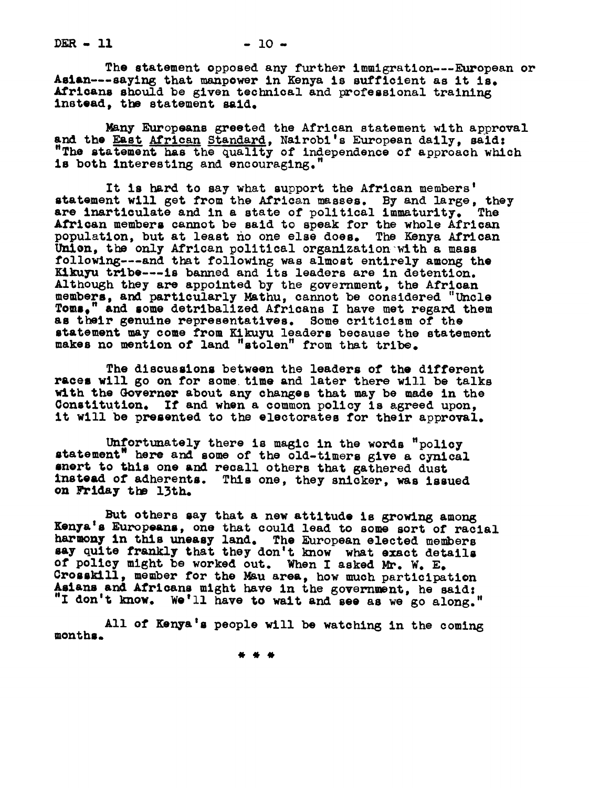The statement opposed any further immigration---European or Aslan---saying that manpower in Kenya is sufficient as it is. Africans should be given technical and professional training instead, the statement said.

Nany Europeans greeted the African statement with approval and the East African Standard, Nairobi's European daily, said: "The statement has the quality of independence of approach which is both interesting and encouraging.

It is hard to say what support the African members' statement will get from the African masses. By and large, they are inarticulate and in a state of political immaturity. The are inarticulate and in a state of political immaturity. African members cannot be said to speak for the whole African population, but at least no one else does. The Kenya African Union, the only African political organization with a mass following---and that following was almost entirely among the Kikuyu tribe---is banned and its leaders are in detention. Although they are appointed by the government, the African members, and particularly Mathu, cannot be considered "Uncle Toms." and some detribalized Africans I have met regard them ' and some detribalized Africans I have met regard them as their genuine representatives. Some criticism of the statement may come from Kikuyu leaders because the statement makes no mentlen of land "stolen" from that tribe.

The discussions between the leaders of the different races will go on for some time and later there will be talks with the Governer about any changes that may be made in the Constitution. If and when a common policy is agreed upon, it will be presented to the electorates for their approval.

Unfortunately there is magic in the words "policy statement" here and some of the old-timers give a cynical nert to this one and recall others that gathered dust instead of adherents. This one, they snicker, was issued on Friday the 13th.

But others say that a new attitude is growing among Kenya's Europeans, one that could lead to some sort of racial harmony in this uneasy land. The European elected members say quite frankly that they don't know what exact details of policy might be worked out. When <sup>I</sup> asked Mr. W. E. Grosskill, member for the Mau area, how much participation Asians and Africans might have in the government, he said: "I don't know. We'll have to wait and see as we go along."

months. All of Kenya's people will be watching in the coming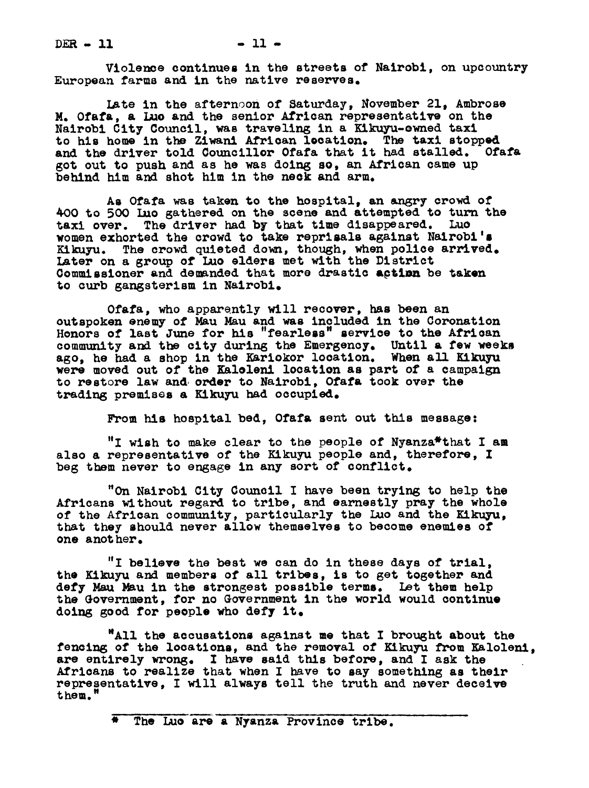$DER - 11$   $-11$ 

Violence continues in the streets of Nalrobi, on upcountry European farms and in the native reserves.

Late in the afternoon of Saturday, November 21, Ambrose M. Ofafa, a Lue and the senior African representative on the Nalrobi City Council, was traveling in a Kikuyu-ened taxi to his home in the Ziwani African location. The taxi stopped and the driver told Councillor Ofafa that it had stalled. Ofafa got out to push and as he was doing so. an African came up behind him and shot him in the neck and arm.

As Ofafa was taken to the hospital, an angry crowd of 400 to 500 Luo gathered on the scene and attempted to turn the taxi over. The driver had by that time disappeared. Luo women exhorted the crowd to take reprisals against Nairobi's Kikuyu. The crowd quieted down, though, when police arrived. Later on a group of Luo elders met with the District Commissioner and demanded that more drastic action be taken to curb gangsterism in Nairobi.

Ofafa, who apparently will recover, has been an outspoken enemy of Mau Mau and was included in the Coronation Honors of last June for his "fearless" service to the African community and the city during the Emergency. Until a few weeks ago, he had a shop in the Kariokor location. When all Kikuyu were moved out of the Kaloleni location as part of a campaign to restore law and order to Nairobi, Ofafa took over the trading premises a Kikuyu had occupied.

From his hospital bed, Ofafa sent out this message:

"I wish to make clear to the people of Nyanza\*that I am also a representative of the Kikuyu people and, therefore, I beg them never to engage in any sort of conflict.

"On Nairobl City Council I have been trying to help the Africans without regard to tribe, and earnestly pray the whole of the African community, particularly the Luo and the Kikuyu, that they should never allow themselves to become enemies of one anot her.

"I believe the best we can do in these days of trial, the Kikuyu and members of all tribes, is to get together and defy Mau Mau in the strongest possible terms. Let them help the Government, for no Government in the world would continue doing good for people who defy it.

"All the accusations against me that I brought about the fencing of the locations, and the removal of Kikuyu from Kalolenl, are entirely wrong. I have said this before, and I ask the Africans to realize that when I have to say something as their representative, I will always tell the truth and never deceive them."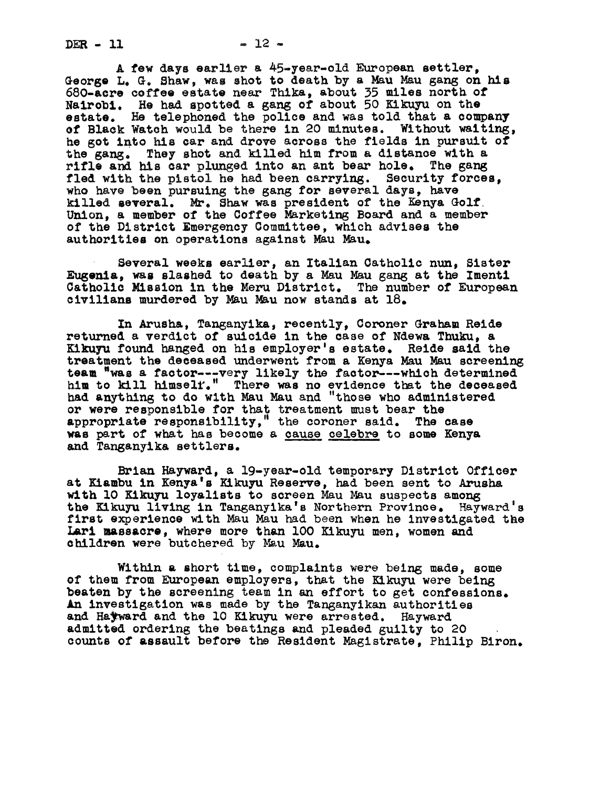$DER - 11$   $- 12$ 

A few days earlier a 45-year-old European settler, George L. G. Shaw, was shot to death by a Mau Mau gang on his 680-acre coffee estate near Thika, about 35 miles north of Nairobi. He had spotted a gang of about 50 Kikuyu on the estate. He telephoned the police and was told that a company of Black Watch would be here in 20 minutes. Without waiting, he got into his car and drove across the fields in pursuit of the gang. They shot and killed him from a distance with a rifle and his car plunged into an ant bear hole. The gang fled with the pistol he had been carrying. Security forces. who have been pursuing the gang for several days, have killed several. Mr. Shaw was president of the Kenya Golf. Union, a member of the Coffee Marketing Board and a member of the District Emergency Committee, which advises the authorities on operations against Mau Mau.

Several weeks earlier, an Italian Oatholic nun, Sister Eugenia, was slashed to death by a Mau Mau gang at the Imenti Catholic Nisslon in the Meru District. The number of European civilians murdered by Mau Mau now stands at  $18$ .

In Arusha, Tanganyika, recently, Coroner Graham Reide returned a verdict of suicide in the case of Ndewa Thuku, a Kikuyu found hanged on his employer's estate. Reide said the treatment the deceased underwent from a Kenya Mau Mau screening team "was a factor---very likely the factor---which determined him to kill himself." There was no evidence that the deceased had anything to do with Mau Mau and "those who administered or were responsible for that treatment must bear the appropriate responsibility," the coroner said. The case was part of what has become a cause celebre to some Kenya and Tanganyik& settlers.

Brian Hayward, a 19-year-old temporary District Officer at Ki&mbu in Kenya's Kikuyu Reserve, had been sent to Arusha with 10 Kikuyu loyalists to screen Mau Mau suspects among the Kikuyu living in Tanganyika's Northern Province. Hayward's first experience with Mau Mau had been when he investigated the Larl massacre, where more than lOO Kikuyu men, women and children were butchered by Mau Mau.

Within & short time, complaints were being made, some of them from European employers, that the Kikuyu were being beaten by the screening team in an effort to get confessions. An investigation was made by the Tanganyikan authorities and Hatward and the 10 Kikuyu were arrested. Hayward admitted ordering the beatings and pleaded guilty to 20 counts of assault before the Resident Magistrate, Philip Birch.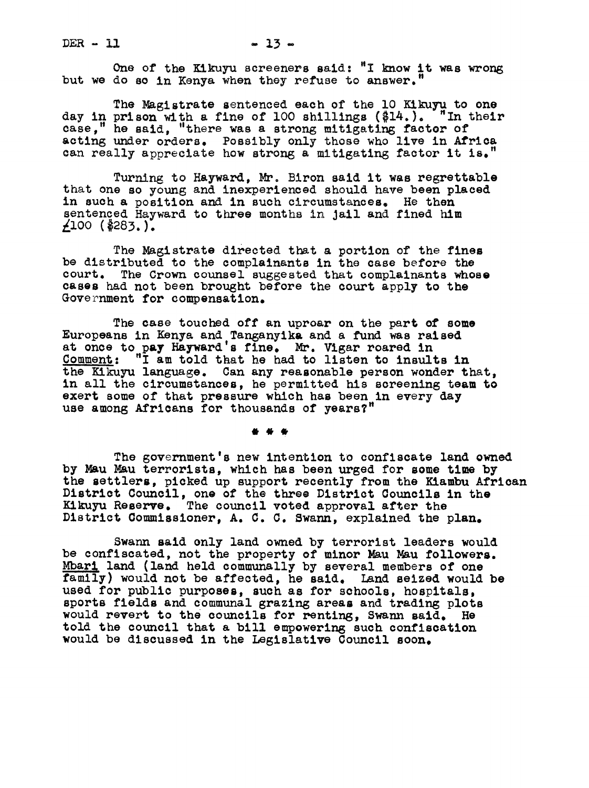One of the Kikuyu screeners said: "I know it was wrong but we do so in Kenya when they refuse to answer.

The Magistrate sentenced each of the 10 Kikuyu to one day in prison with a fine of 100 shillings (\$14.). "In their case," he said, "there was a strong mitigating factor of acting under orders. Possibly only those who live in Africa can really appreciate how strong a mitigating factor it is.

Turning to Hayward, Mr Biron said it was regrettable that one so young and inexperienced should have been placed in such a position and in such circumstances. He then sentenced Hayward to three months in jail and fined him  $\angle 100$  (\$283.).

The Magistrate directed that a portion of the fines be distributed to the complainants in the case before the court. The Crown counsel suggested that complainants whose cases had not been brought before the court apply to the Government for compensation.

The case touched off an uproar on the part of some Europeans in Kenya and Tanganyik& and a fund was raised at once to pay Hayward's fine. Mr. Vigar roared in Comment: "I am told that he had to listen to insults in the Kikuyu language. Can any reasonable person wonder that. in all the circumstances, he permitted his screening team to exert some of that pressure which has been in every day use among Africans for thousands of years?"

The government's new intention to confiscate land owned by Mau Mau terrorists, which has been urged for some time by the settlers, picked up support recently from the Kiambu African District Council, one of the three District Councils in the Kikuyu Reserve. The council voted approval after the District Commissioner, A. C. C. Swann, explained the plan.

Swann said only land owned by terrorist leaders would be confiscated, not the property of minor Mau Mau followers. Mbari land (land held communally by several members of one family) would not be affected, he said. Land seized would be used for public purposes, such as for schools, hospitals, sports fields and communal grazing areas and trading plots would revert to the councils for renting, Swann said. He told the council that a bill empowering such confiscation would be discussed in the Legislative Council soon.